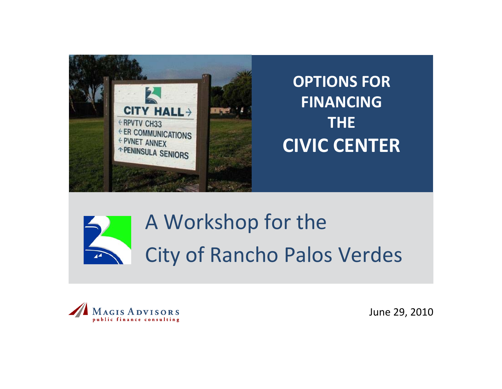

**OPTIONS FORFINANCING THECIVIC CENTER**



# A Workshop for the City of Rancho Palos Verdes



June 29, 2010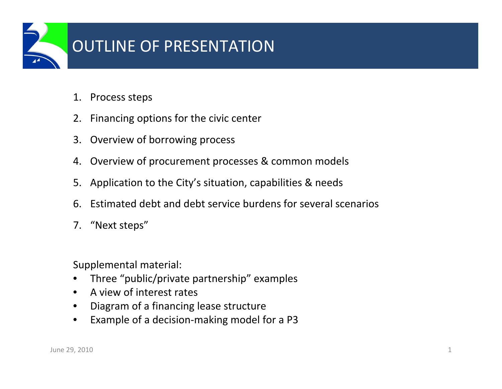

# OUTLINE OF PRESENTATION

- 1. Process steps
- 2.Financing options for the civic center
- 3. Overview of borrowing process
- 4. Overview of procurement processes & common models
- 5.Application to the City's situation, capabilities & needs
- 6.Estimated debt and debt service burdens for several scenarios
- 7. "Next steps"

Supplemental material:

- Three "public/private partnership" examples
- A view of interest rates
- Diagram of <sup>a</sup> financing lease structure
- Example of <sup>a</sup> decision‐making model for <sup>a</sup> P3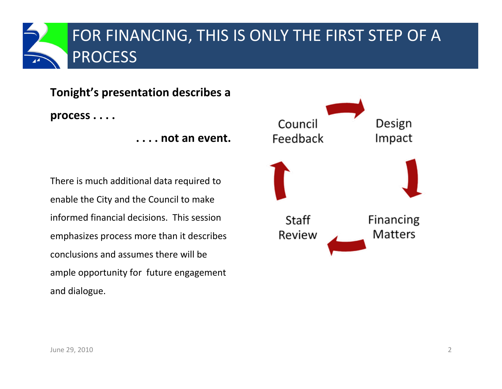

**Tonight's presentation describes <sup>a</sup> process . . . .**

**. . . . not an event.**

There is much additional data required to enable the City and the Council to make informed financial decisions. This session emphasizes process more than it describes conclusions and assumes there will be ample opportunity for future engagement and dialogue.

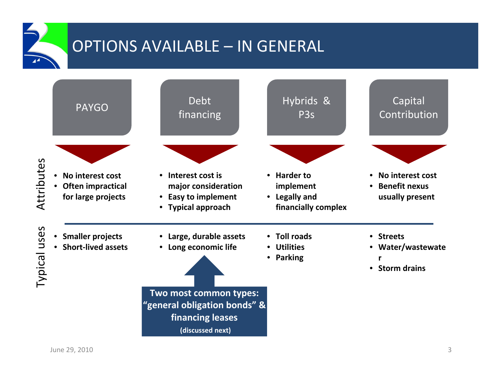OPTIONS AVAILABLE – IN GENERAL

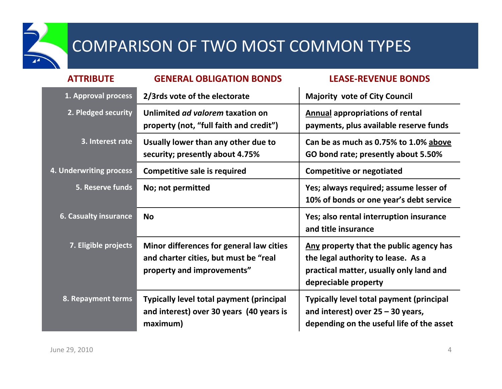

# COMPARISON OF TWO MOST COMMON TYPES

| <b>ATTRIBUTE</b>             | <b>GENERAL OBLIGATION BONDS</b>                                                                                 | <b>LEASE-REVENUE BONDS</b>                                                                                                                       |
|------------------------------|-----------------------------------------------------------------------------------------------------------------|--------------------------------------------------------------------------------------------------------------------------------------------------|
| 1. Approval process          | 2/3rds vote of the electorate                                                                                   | <b>Majority vote of City Council</b>                                                                                                             |
| 2. Pledged security          | Unlimited ad valorem taxation on<br>property (not, "full faith and credit")                                     | <b>Annual appropriations of rental</b><br>payments, plus available reserve funds                                                                 |
| 3. Interest rate             | Usually lower than any other due to<br>security; presently about 4.75%                                          | Can be as much as 0.75% to 1.0% above<br>GO bond rate; presently about 5.50%                                                                     |
| 4. Underwriting process      | <b>Competitive sale is required</b>                                                                             | <b>Competitive or negotiated</b>                                                                                                                 |
| 5. Reserve funds             | No; not permitted                                                                                               | Yes; always required; assume lesser of<br>10% of bonds or one year's debt service                                                                |
| <b>6. Casualty insurance</b> | <b>No</b>                                                                                                       | Yes; also rental interruption insurance<br>and title insurance                                                                                   |
| 7. Eligible projects         | Minor differences for general law cities<br>and charter cities, but must be "real<br>property and improvements" | Any property that the public agency has<br>the legal authority to lease. As a<br>practical matter, usually only land and<br>depreciable property |
| 8. Repayment terms           | <b>Typically level total payment (principal</b><br>and interest) over 30 years (40 years is<br>maximum)         | <b>Typically level total payment (principal</b><br>and interest) over $25 - 30$ years,<br>depending on the useful life of the asset              |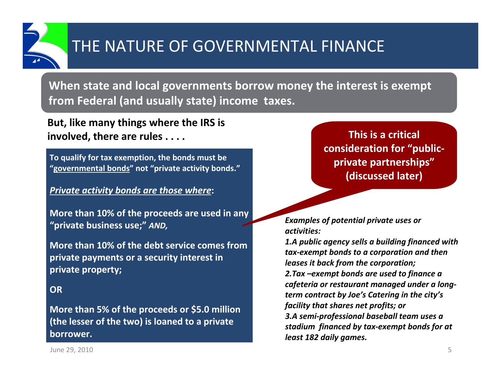

# THE NATURE OF GOVERNMENTAL FINANCE

**When state and local governments borrow money the interest is exempt from Federal (and usually state) income taxes.**

**But, like many things where the IRS is involved, there are rules . . . . This is <sup>a</sup> critical**

**To qualify for tax exemption, the bonds must be "governmental bonds" not "private activity bonds."**

#### *Private activity bonds are those where***:**

**More than 10% of the proceeds are used in any "private business use;"** *AND,*

**More than 10% of the debt service comes fromprivate payments or <sup>a</sup> security interest in private property;**

#### **OR**

**More than 5% of the proceeds or \$5.0 million (the lesser of the two) is loaned to <sup>a</sup> private borrower.**

**consideration for "public‐ private partnerships" (discussed later)**

*Examples of potential private uses or activities:*

*1.A public agency sells <sup>a</sup> building financed with tax‐exempt bonds to <sup>a</sup> corporation and then leases it back from the corporation; 2.Tax –exempt bonds are used to finance <sup>a</sup> cafeteria or restaurant managed under <sup>a</sup> long‐ term contract by Joe's Catering in the city's facility that shares net profits; or 3.A semi‐professional baseball team uses <sup>a</sup> stadium financed by tax‐exempt bonds for at least 182 daily games.*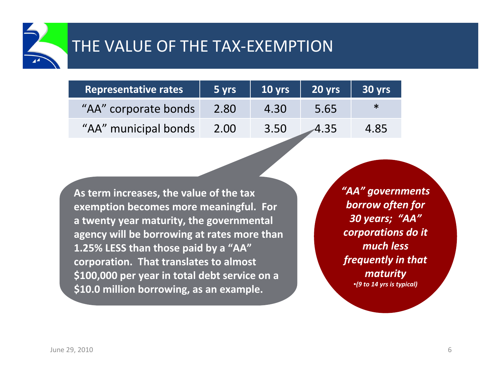

| Representative rates | 5 yrs | $10 \overline{yrs}$ | $20$ yrs | 30 yrs |
|----------------------|-------|---------------------|----------|--------|
| "AA" corporate bonds | 2.80  | 4.30                | 5.65     |        |
| "AA" municipal bonds | 2.00  | 3.50                | 4.35     | 4.85   |

**As term increases, the value of the tax exemption becomes more meaningful. For a twenty year maturity, the governmental agency will be borrowing at rates more than 1.25% LESS than those paid by <sup>a</sup> "AA" corporation. That translates to almost \$100,000 per year in total debt service on <sup>a</sup> \$10.0 million borrowing, as an example.**

*"AA" governments borrow often for 30 years; "AA" corporations do it much less frequently in that maturity* •*(9 to 14 yrs is typical)*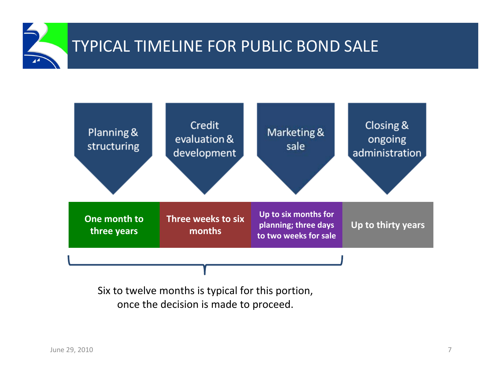



Six to twelve months is typical for this portion, once the decision is made to proceed.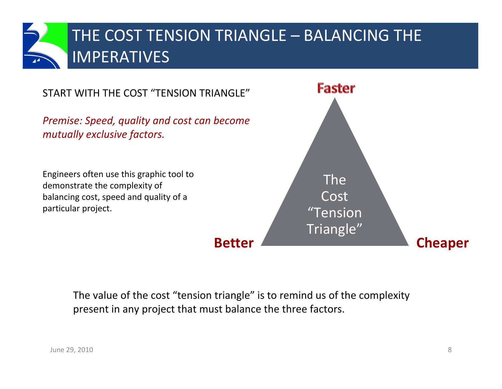

**Faster** START WITH THE COST "TENSION TRIANGLE" *Premise: Speed, quality and cost can become mutually exclusive factors.* Engineers often use this graphic tool to The demonstrate the complexity of Costbalancing cost, speed and quality of <sup>a</sup> particular project. "Tension Triangle" **BetterCheaper**

The value of the cost "tension triangle" is to remind us of the complexity present in any project that must balance the three factors.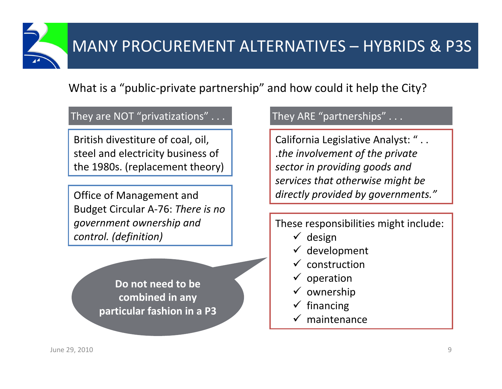

### What is a "public‐private partnership" and how could it help the City?

### They are NOT "privatizations" . . . They ARE "partnerships" . . .

British divestiture of coal, oil, steel and electricity business of the 1980s. (replacement theory)

Office of Management and Budget Circular A‐76: *There is no government ownership and control. (definition)*

> **Do not need to be combined in any particular fashion in <sup>a</sup> P3**

California Legislative Analyst: " . . .*the involvement of the private sector in providing goods and services that otherwise might be directly provided by governments."*

### These responsibilities might include:

- $\checkmark$  design
- $\checkmark$  development
- $\checkmark$ construction
- $\checkmark$ operation
- $\checkmark$  ownership
- $\checkmark$ financing
- $\checkmark$  maintenance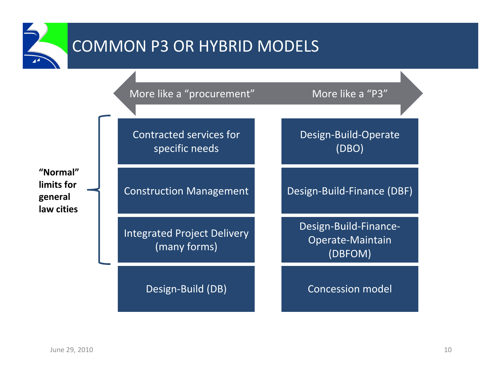

# COMMON P3 OR HYBRID MODELS

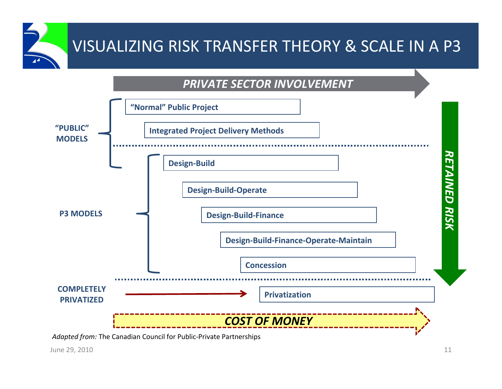# VISUALIZING RISK TRANSFER THEORY & SCALE IN A P3

### *PRIVATE SECTOR INVOLVEMENT*



*Adapted from:* The Canadian Council for Public‐Private Partnerships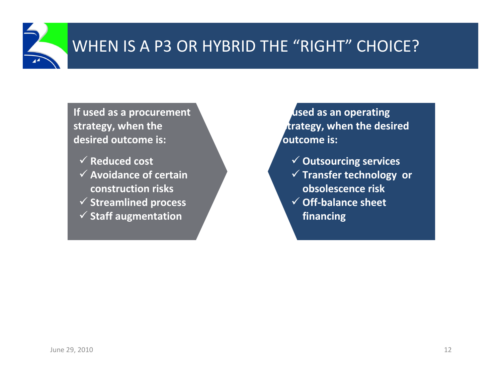

**If used as <sup>a</sup> procurement strategy, when the desired outcome is:**

 **Reduced cost Avoidance of certain construction risks Streamlined process Staff augmentation**

 **used as an operating strategy, when the desired outcome is:**

- **Outsourcing services**
- **Transfer technology or obsolescence risk**
- **Off‐balance sheet financing**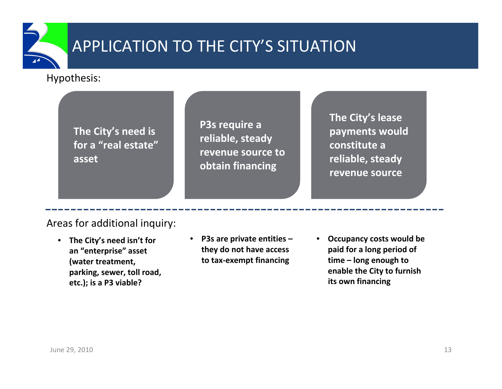

# APPLICATION TO THE CITY'S SITUATION

### Hypothesis:

**The City's need is for a "real estate" asset**

**P3s require <sup>a</sup> reliable, steady revenue source toobtain financing**

**The City's lease payments would constitute a reliable, steady revenue source**

### Areas for additional inquiry:

- **The City's need isn't for an "enterprise" asset (water treatment, parking, sewer, toll road, etc.); is <sup>a</sup> P3 viable?**
- **P3s are private entities – they do not have access to tax‐exempt financing**
- **Occupancy costs would be paid for <sup>a</sup> long period of time – long enough to enable the City to furnish its own financing**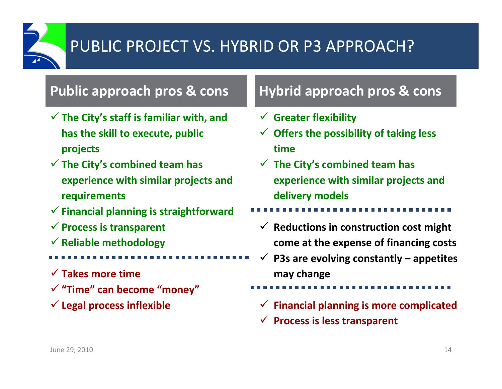

# PUBLIC PROJECT VS. HYBRID OR P3 APPROACH?

### **Public approach pros & cons**

- **The City's staff is familiar with, and has the skill to execute, public projects**
- **The City's combined team has experience with similar projects and requirements**
- **Financial planning is straightforward**
- **Process is transparent**
- **Reliable methodology**
- **Takes more time**
- **"Time" can become "money"**
- **Legal process inflexible**

## **approach pros & cons Hybrid approach pros & cons**

- **Greater flexibility**
- **Offers the possibility of taking less time**
- **The City's combined team has experience with similar projects and delivery models**
- - **Reductions in construction cost might come at the expense of financing costs**
- $\checkmark$  **P3s are evolving constantly – appetites may change**
- **Financial planning is more complicated**
- **Process is less transparent**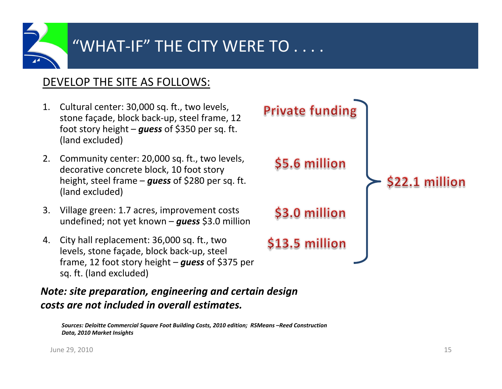

### DEVELOP THE SITE AS FOLLOWS:

- 1. Cultural center: 30,000 sq. ft., two levels, stone façade, block back‐up, steel frame, 12 foot story height – *guess* of \$350 per sq. ft. (land excluded)
- 2. Community center: 20,000 sq. ft., two levels, decorative concrete block, 10 foot story height, steel frame – *guess* of \$280 per sq. ft. (land excluded)
- 3. Village green: 1.7 acres, improvement costs undefined; not yet known – *guess* \$3.0 million
- 4. City hall replacement: 36,000 sq. ft., two levels, stone façade, block back‐up, steel frame, <sup>12</sup> foot story height – *guess* of \$375 per sq. ft. (land excluded)

*Note: site preparation, engineering and certain design costs are not included in overall estimates.*

*Sources: Deloitte Commercial Square Foot Building Costs, 2010 edition; RSMeans –Reed Construction Data, 2010 Market Insights*

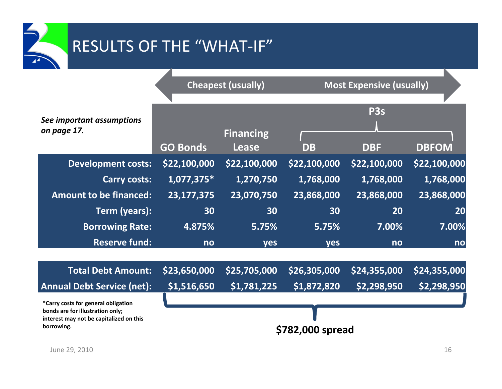# RESULTS OF THE "WHAT‐IF"

|                                                                             |                  | <b>Cheapest (usually)</b>        | <b>Most Expensive (usually)</b> |                  |              |  |  |  |  |
|-----------------------------------------------------------------------------|------------------|----------------------------------|---------------------------------|------------------|--------------|--|--|--|--|
|                                                                             |                  |                                  |                                 |                  |              |  |  |  |  |
|                                                                             |                  |                                  |                                 | P <sub>3</sub> s |              |  |  |  |  |
| See important assumptions<br>on page 17.                                    |                  |                                  |                                 |                  |              |  |  |  |  |
|                                                                             | <b>GO Bonds</b>  | <b>Financing</b><br><b>Lease</b> | <b>DB</b>                       | <b>DBF</b>       | <b>DBFOM</b> |  |  |  |  |
| <b>Development costs:</b>                                                   | \$22,100,000     | \$22,100,000                     | \$22,100,000                    | \$22,100,000     | \$22,100,000 |  |  |  |  |
| <b>Carry costs:</b>                                                         | 1,077,375*       | 1,270,750                        | 1,768,000                       | 1,768,000        | 1,768,000    |  |  |  |  |
| <b>Amount to be financed:</b>                                               | 23,177,375       | 23,070,750                       | 23,868,000                      | 23,868,000       | 23,868,000   |  |  |  |  |
| Term (years):                                                               | 30               | 30                               | 30                              | 20               | 20           |  |  |  |  |
| <b>Borrowing Rate:</b>                                                      | 4.875%           | 5.75%                            | 5.75%                           | 7.00%            | 7.00%        |  |  |  |  |
| <b>Reserve fund:</b>                                                        | no               | <b>yes</b>                       | <b>ves</b>                      | n <sub>o</sub>   | no           |  |  |  |  |
|                                                                             |                  |                                  |                                 |                  |              |  |  |  |  |
| <b>Total Debt Amount:</b>                                                   | \$23,650,000     | \$25,705,000                     | \$26,305,000                    | \$24,355,000     | \$24,355,000 |  |  |  |  |
| <b>Annual Debt Service (net):</b>                                           | \$1,516,650      | \$1,781,225                      | \$1,872,820                     | \$2,298,950      | \$2,298,950  |  |  |  |  |
| *Carry costs for general obligation                                         |                  |                                  |                                 |                  |              |  |  |  |  |
| bonds are for illustration only;<br>interest may not be capitalized on this |                  |                                  |                                 |                  |              |  |  |  |  |
| borrowing.                                                                  | \$782,000 spread |                                  |                                 |                  |              |  |  |  |  |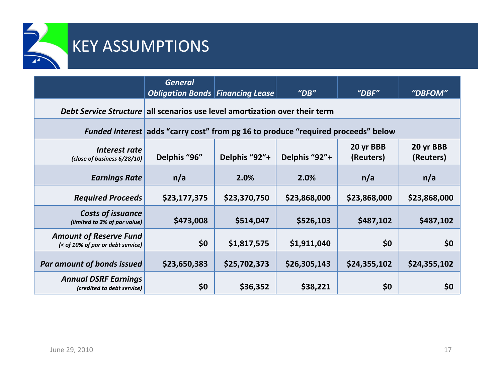

## KEY ASSUMPTIONS

|                                                                             | <b>General</b><br><b>Obligation Bonds Financing Lease</b> |                                                                                   | $^{\prime\prime}$ DB $^{\prime\prime}$ | $^{\prime\prime}$ DBF $^{\prime\prime}$ | "DBFOM"                |  |  |  |  |  |  |  |
|-----------------------------------------------------------------------------|-----------------------------------------------------------|-----------------------------------------------------------------------------------|----------------------------------------|-----------------------------------------|------------------------|--|--|--|--|--|--|--|
| Debt Service Structure all scenarios use level amortization over their term |                                                           |                                                                                   |                                        |                                         |                        |  |  |  |  |  |  |  |
|                                                                             |                                                           | Funded Interest adds "carry cost" from pg 16 to produce "required proceeds" below |                                        |                                         |                        |  |  |  |  |  |  |  |
| Interest rate<br>(close of business 6/28/10)                                | Delphis "96"                                              | Delphis "92"+                                                                     | Delphis "92"+                          | 20 yr BBB<br>(Reuters)                  | 20 yr BBB<br>(Reuters) |  |  |  |  |  |  |  |
| <b>Earnings Rate</b>                                                        | n/a                                                       | 2.0%                                                                              | 2.0%                                   | n/a                                     | n/a                    |  |  |  |  |  |  |  |
| <b>Required Proceeds</b>                                                    | \$23,177,375                                              | \$23,370,750                                                                      | \$23,868,000                           | \$23,868,000                            | \$23,868,000           |  |  |  |  |  |  |  |
| Costs of issuance<br>(limited to 2% of par value)                           | \$473,008                                                 | \$514,047                                                                         | \$526,103                              | \$487,102                               | \$487,102              |  |  |  |  |  |  |  |
| <b>Amount of Reserve Fund</b><br>(< of 10% of par or debt service)          | \$0\$                                                     | \$1,817,575                                                                       | \$1,911,040                            | \$0                                     | \$0                    |  |  |  |  |  |  |  |
| <b>Par amount of bonds issued</b>                                           | \$23,650,383                                              | \$25,702,373                                                                      | \$26,305,143                           | \$24,355,102                            | \$24,355,102           |  |  |  |  |  |  |  |
| <b>Annual DSRF Earnings</b><br>(credited to debt service)                   | \$0\$                                                     | \$36,352                                                                          | \$38,221                               | \$0                                     | \$0                    |  |  |  |  |  |  |  |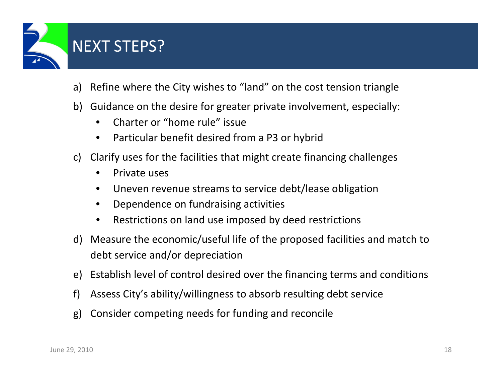

- NEXT STEPS?
- a) Refine where the City wishes to "land" on the cost tension triangle
- b) Guidance on the desire for greater private involvement, especially:
	- Charter or "home rule" issue
	- Particular benefit desired from <sup>a</sup> P3 or hybrid
- c) Clarify uses for the facilities that might create financing challenges
	- Private uses
	- Uneven revenue streams to service debt/lease obligation
	- Dependence on fundraising activities
	- Restrictions on land use imposed by deed restrictions
- d) Measure the economic/useful life of the proposed facilities and match to debt service and/or depreciation
- e) Establish level of control desired over the financing terms and conditions
- f) Assess City's ability/willingness to absorb resulting debt service
- g) Consider competing needs for funding and reconcile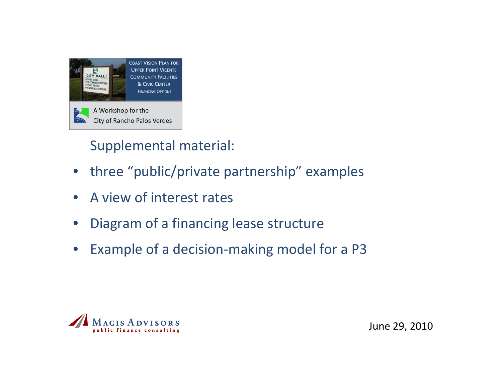

Supplemental material:

- three "public/private partnership" examples
- A view of interest rates
- Diagram of <sup>a</sup> financing lease structure
- Example of <sup>a</sup> decision‐making model for <sup>a</sup> P3

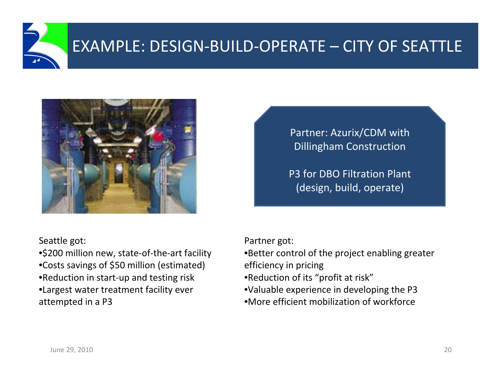



Seattle got:

•\$200 million new, state-of-the-art facility •Costs savings of \$50 million (estimated) •Reduction in start‐up and testing risk •Largest water treatment facility ever attempted in <sup>a</sup> P3

Partner: Azurix/CDM with Dillingham Construction

P3 for DBO Filtration Plant (design, build, operate)

Partner got:

•Better control of the project enabling greater

efficiency in pricing

- •Reduction of its "profit at risk"
- •Valuable experience in developing the P3
- •More efficient mobilization of workforce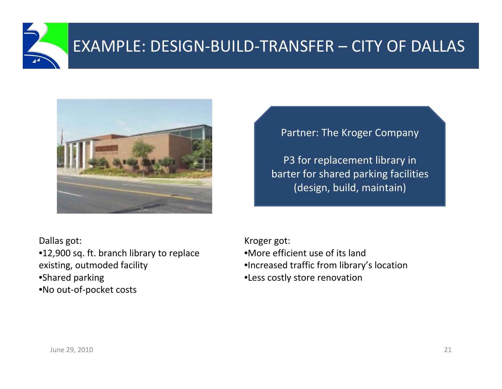



Partner: The Kroger Company

P3 for replacement library in barter for shared parking facilities (design, build, maintain)

Dallas got:

•12,900 sq. ft. branch library to replace existing, outmoded facility •Shared parking •No out‐of‐pocket costs

Kroger got: •More efficient use of its land•Increased traffic from library's location •Less costly store renovation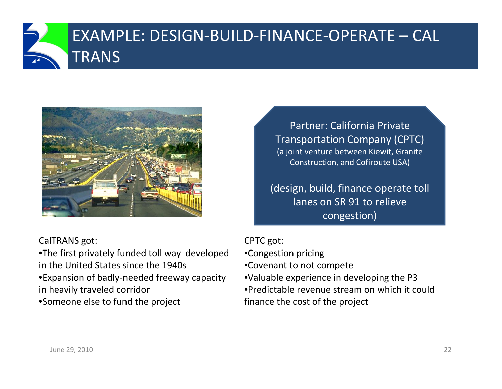

# EXAMPLE: DESIGN‐BUILD‐FINANCE‐OPERATE – CAL TRANS



CalTRANS got:

•The first privately funded toll way developed in the United States since the 1940s •Expansion of badly‐needed freeway capacity in heavily traveled corridor •Someone else to fund the project

Partner: California PrivateTransportation Company (CPTC) (a joint venture between Kiewit, Granite Construction, and Cofiroute USA)

(design, build, finance operate toll lanes on SR 91 to relieve congestion)

### CPTC got:

- •Congestion pricing
- •Covenant to not compete
- •Valuable experience in developing the P3
- •Predictable revenue stream on which it could finance the cost of the project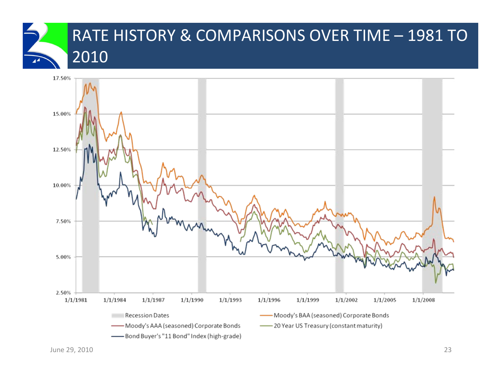# RATE HISTORY & COMPARISONS OVER TIME – 1981 TO 2010

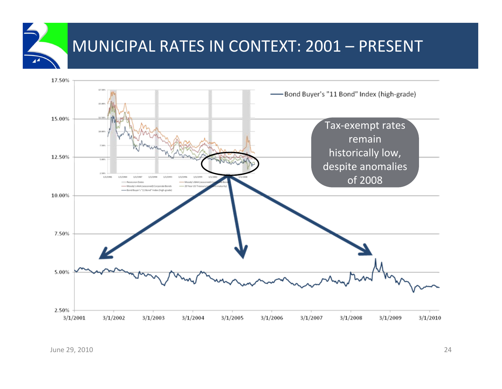# MUNICIPAL RATES IN CONTEXT: 2001 – PRESENT

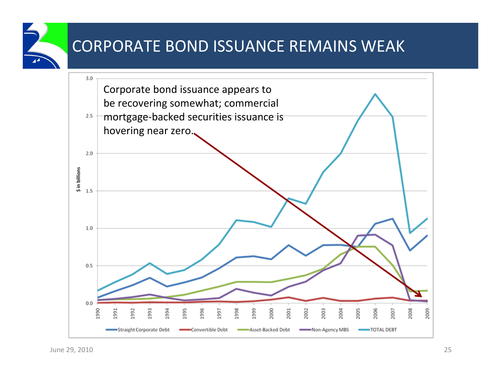# CORPORATE BOND ISSUANCE REMAINS WEAK

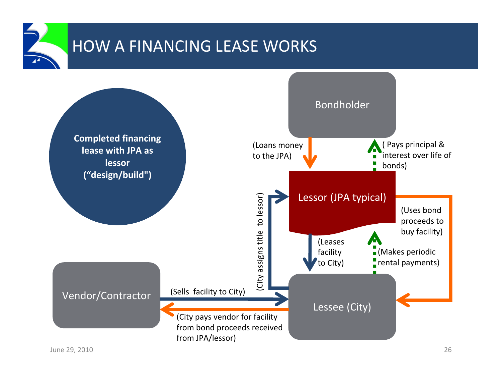

# HOW A FINANCING LEASE WORKS

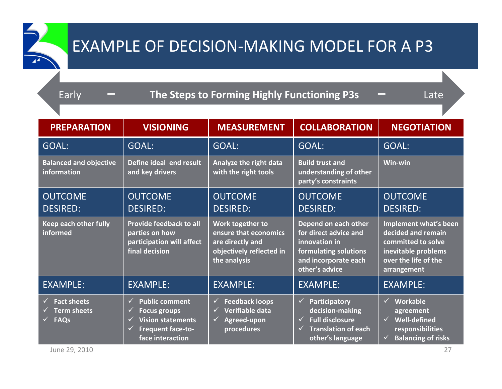### Early **– The Steps to Forming Highly Functioning P3s –** Late

| <b>PREPARATION</b>                                                | <b>VISIONING</b>                                                                                                                                        | <b>MEASUREMENT</b>                                                                                        | <b>COLLABORATION</b>                                                                                                                                | <b>NEGOTIATION</b>                                                                                                                            |
|-------------------------------------------------------------------|---------------------------------------------------------------------------------------------------------------------------------------------------------|-----------------------------------------------------------------------------------------------------------|-----------------------------------------------------------------------------------------------------------------------------------------------------|-----------------------------------------------------------------------------------------------------------------------------------------------|
| GOAL:                                                             | GOAL:                                                                                                                                                   | GOAL:                                                                                                     | <b>GOAL:</b>                                                                                                                                        | <b>GOAL:</b>                                                                                                                                  |
| <b>Balanced and objective</b><br>information                      | Define ideal end result<br>and key drivers                                                                                                              | Analyze the right data<br>with the right tools                                                            | <b>Build trust and</b><br>understanding of other<br>party's constraints                                                                             | Win-win                                                                                                                                       |
| <b>OUTCOME</b><br><b>DESIRED:</b>                                 | <b>OUTCOME</b><br><b>DESIRED:</b>                                                                                                                       | <b>OUTCOME</b><br><b>DESIRED:</b>                                                                         | <b>OUTCOME</b><br><b>DESIRED:</b>                                                                                                                   | <b>OUTCOME</b><br><b>DESIRED:</b>                                                                                                             |
| Keep each other fully<br>informed                                 | <b>Provide feedback to all</b><br>parties on how<br>participation will affect<br>final decision                                                         | Work together to<br>ensure that economics<br>are directly and<br>objectively reflected in<br>the analysis | Depend on each other<br>for direct advice and<br>innovation in<br>formulating solutions<br>and incorporate each<br>other's advice                   | Implement what's been<br>decided and remain<br>committed to solve<br>inevitable problems<br>over the life of the<br>arrangement               |
| <b>EXAMPLE:</b>                                                   | <b>EXAMPLE:</b>                                                                                                                                         | <b>EXAMPLE:</b>                                                                                           | <b>EXAMPLE:</b>                                                                                                                                     | <b>EXAMPLE:</b>                                                                                                                               |
| <b>Fact sheets</b><br>✓<br><b>Term sheets</b><br><b>FAQs</b><br>✓ | <b>Public comment</b><br>✓<br><b>Focus groups</b><br>✓<br><b>Vision statements</b><br>$\checkmark$<br><b>Frequent face-to-</b><br>✓<br>face interaction | <b>Feedback loops</b><br>✓<br>Verifiable data<br>Agreed-upon<br>✓<br>procedures                           | <b>Participatory</b><br>$\checkmark$<br>decision-making<br><b>Full disclosure</b><br>$\checkmark$<br><b>Translation of each</b><br>other's language | Workable<br>$\checkmark$<br>agreement<br><b>Well-defined</b><br>$\checkmark$<br>responsibilities<br><b>Balancing of risks</b><br>$\checkmark$ |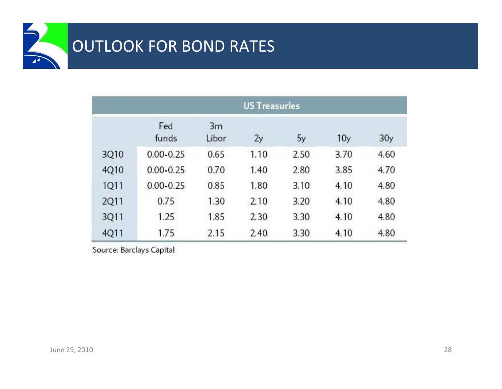|             | <b>US Treasuries</b> |             |      |      |                 |                 |  |  |  |  |  |  |
|-------------|----------------------|-------------|------|------|-----------------|-----------------|--|--|--|--|--|--|
|             | Fed<br>funds         | 3m<br>Libor | 2y   | 5y   | 10 <sub>y</sub> | 30 <sub>y</sub> |  |  |  |  |  |  |
| 3Q10        | $0.00 - 0.25$        | 0.65        | 1.10 | 2.50 | 3.70            | 4.60            |  |  |  |  |  |  |
| 4Q10        | $0.00 - 0.25$        | 0.70        | 1.40 | 2.80 | 3.85            | 4.70            |  |  |  |  |  |  |
| 1Q11        | $0.00 - 0.25$        | 0.85        | 1.80 | 3.10 | 4.10            | 4.80            |  |  |  |  |  |  |
| <b>2Q11</b> | 0.75                 | 1.30        | 2.10 | 3.20 | 4.10            | 4.80            |  |  |  |  |  |  |
| 3Q11        | 1.25                 | 1.85        | 2.30 | 3.30 | 4.10            | 4.80            |  |  |  |  |  |  |
| 4Q11        | 1.75                 | 2.15        | 2.40 | 3.30 | 4.10            | 4.80            |  |  |  |  |  |  |

Source: Barclays Capital